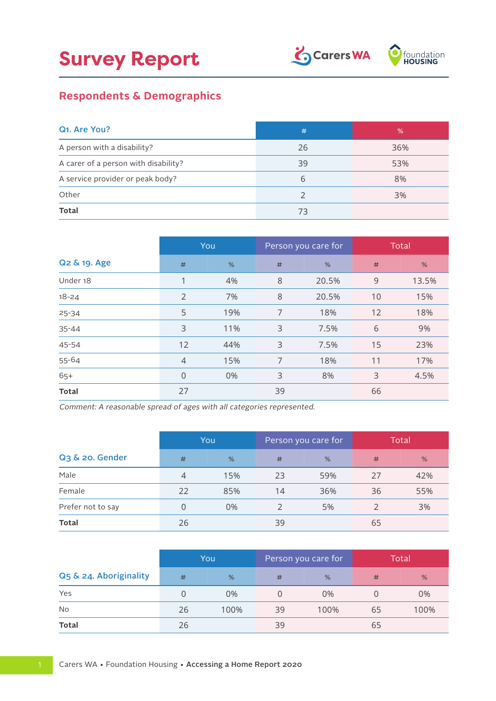

## **Respondents & Demographics**

| Q <sub>1</sub> . Are You?            | #  | %   |
|--------------------------------------|----|-----|
| A person with a disability?          | 26 | 36% |
| A carer of a person with disability? | 39 | 53% |
| A service provider or peak body?     | 6  | 8%  |
| Other                                |    | 3%  |
| <b>Total</b>                         | 73 |     |

|              |                | You | Person you care for |       | Total |       |
|--------------|----------------|-----|---------------------|-------|-------|-------|
| Q2 & 19. Age | #              | %   | #                   | %     | #     | %     |
| Under 18     |                | 4%  | 8                   | 20.5% | 9     | 13.5% |
| $18 - 24$    | $\overline{2}$ | 7%  | 8                   | 20.5% | 10    | 15%   |
| $25 - 34$    | 5              | 19% | 7                   | 18%   | 12    | 18%   |
| 35-44        | 3              | 11% | 3                   | 7.5%  | 6     | 9%    |
| 45-54        | 12             | 44% | 3                   | 7.5%  | 15    | 23%   |
| 55-64        | $\overline{4}$ | 15% | 7                   | 18%   | 11    | 17%   |
| $65+$        | $\overline{0}$ | 0%  | 3                   | 8%    | 3     | 4.5%  |
| <b>Total</b> | 27             |     | 39                  |       | 66    |       |

Comment: A reasonable spread of ages with all categories represented.

|                   |    | You | Person you care for |     | <b>Total</b> |     |
|-------------------|----|-----|---------------------|-----|--------------|-----|
| Q3 & 20. Gender   | #  | %   | #                   | %   | #            | %   |
| Male              | 4  | 15% | 23                  | 59% | 27           | 42% |
| Female            | 22 | 85% | 14                  | 36% | 36           | 55% |
| Prefer not to say |    | 0%  |                     | 5%  |              | 3%  |
| <b>Total</b>      | 26 |     | 39                  |     | 65           |     |

|                        |    | You           | Person you care for |      |    | Total |
|------------------------|----|---------------|---------------------|------|----|-------|
| Q5 & 24. Aboriginality | #  | $\frac{9}{6}$ | #                   | %    | #  | %     |
| Yes                    |    | 0%            |                     | 0%   |    | 0%    |
| <b>No</b>              | 26 | 100%          | 39                  | 100% | 65 | 100%  |
| <b>Total</b>           | 26 |               | 39                  |      | 65 |       |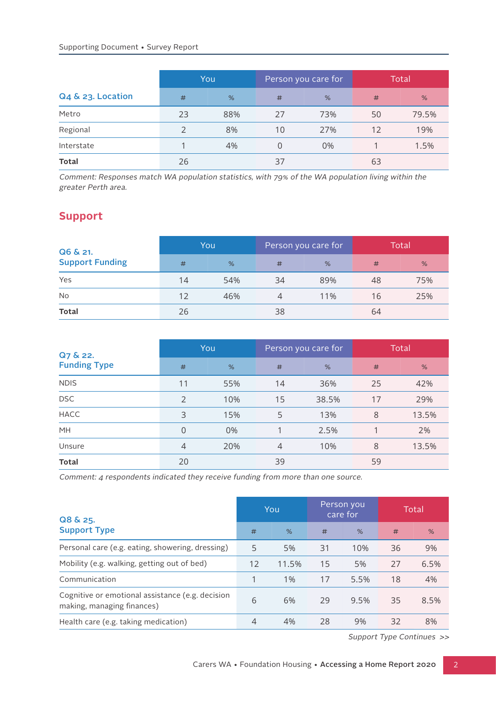|                   |    | <b>You</b> | Person you care for |     |    | Total |
|-------------------|----|------------|---------------------|-----|----|-------|
| Q4 & 23. Location | #  | %          | #                   | %   | #  | %     |
| Metro             | 23 | 88%        | 27                  | 73% | 50 | 79.5% |
| Regional          |    | 8%         | 10                  | 27% | 12 | 19%   |
| Interstate        |    | 4%         | 0                   | 0%  |    | 1.5%  |
| <b>Total</b>      | 26 |            | 37                  |     | 63 |       |

Comment: Responses match WA population statistics, with 79% of the WA population living within the greater Perth area.

## **Support**

| Q6 & 21.<br><b>Support Funding</b> | You |     |    | Person you care for | Total |     |  |
|------------------------------------|-----|-----|----|---------------------|-------|-----|--|
|                                    | #   | %   | #  | %                   | #     | %   |  |
| Yes                                | 14  | 54% | 34 | 89%                 | 48    | 75% |  |
| <b>No</b>                          | 12  | 46% | 4  | 11%                 | 16    | 25% |  |
| <b>Total</b>                       | 26  |     | 38 |                     | 64    |     |  |

| Q7 & 22.            | You            |     |    | Person you care for | <b>Total</b> |       |  |
|---------------------|----------------|-----|----|---------------------|--------------|-------|--|
| <b>Funding Type</b> | #              | %   | #  | %                   | #            | %     |  |
| <b>NDIS</b>         | 11             | 55% | 14 | 36%                 | 25           | 42%   |  |
| <b>DSC</b>          | 2              | 10% | 15 | 38.5%               | 17           | 29%   |  |
| <b>HACC</b>         | 3              | 15% | 5  | 13%                 | 8            | 13.5% |  |
| MH                  | $\mathbf{0}$   | 0%  |    | 2.5%                |              | 2%    |  |
| Unsure              | $\overline{4}$ | 20% | 4  | 10%                 | 8            | 13.5% |  |
| <b>Total</b>        | 20             |     | 39 |                     | 59           |       |  |

Comment: 4 respondents indicated they receive funding from more than one source.

| Q8 & 25.                                                                       |    | You   |    | Person you<br>care for | Total |      |
|--------------------------------------------------------------------------------|----|-------|----|------------------------|-------|------|
| <b>Support Type</b>                                                            | #  | %     | #  | %                      | #     | %    |
| Personal care (e.g. eating, showering, dressing)                               | 5  | 5%    | 31 | 10%                    | 36    | 9%   |
| Mobility (e.g. walking, getting out of bed)                                    | 12 | 11.5% | 15 | 5%                     | 27    | 6.5% |
| Communication                                                                  |    | $1\%$ | 17 | 5.5%                   | 18    | 4%   |
| Cognitive or emotional assistance (e.g. decision<br>making, managing finances) | 6  | 6%    | 29 | 9.5%                   | 35    | 8.5% |
| Health care (e.g. taking medication)                                           | 4  | 4%    | 28 | 9%                     | 32    | 8%   |

Support Type Continues >>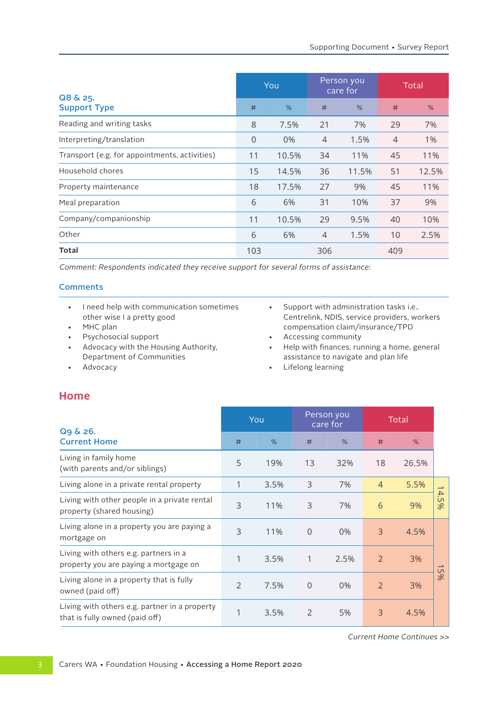|                                               |                | You   |                | Person you<br>care for | Total          |       |
|-----------------------------------------------|----------------|-------|----------------|------------------------|----------------|-------|
| Q8 & 25.<br><b>Support Type</b>               | #              | %     | #              | %                      | #              | %     |
| Reading and writing tasks                     | 8              | 7.5%  | 21             | 7%                     | 29             | 7%    |
| Interpreting/translation                      | $\overline{0}$ | 0%    | $\overline{4}$ | 1.5%                   | $\overline{4}$ | 1%    |
| Transport (e.g. for appointments, activities) | 11             | 10.5% | 34             | 11%                    | 45             | 11%   |
| Household chores                              | 15             | 14.5% | 36             | 11.5%                  | 51             | 12.5% |
| Property maintenance                          | 18             | 17.5% | 27             | 9%                     | 45             | 11%   |
| Meal preparation                              | 6              | 6%    | 31             | 10%                    | 37             | 9%    |
| Company/companionship                         | 11             | 10.5% | 29             | 9.5%                   | 40             | 10%   |
| Other                                         | 6              | 6%    | $\overline{4}$ | 1.5%                   | 10             | 2.5%  |
| Total                                         | 103            |       | 306            |                        | 409            |       |

Comment: Respondents indicated they receive support for several forms of assistance:

### **Comments**

- I need help with communication sometimes other wise I a pretty good
- MHC plan
- Psychosocial support
- Advocacy with the Housing Authority, Department of Communities
- Advocacy
- Support with administration tasks i.e.. Centrelink, NDIS, service providers, workers compensation claim/insurance/TPD
- Accessing community
- Help with finances, running a home, general assistance to navigate and plan life
- Lifelong learning

### **Home**

|                                                                                 | You            |      | Person you<br>care for |       | Total          |       |                          |
|---------------------------------------------------------------------------------|----------------|------|------------------------|-------|----------------|-------|--------------------------|
| Q9 & 26.<br><b>Current Home</b>                                                 | #              | %    | #                      | %     | #              | %     |                          |
| Living in family home<br>(with parents and/or siblings)                         | 5              | 19%  | 13                     | 32%   | 18             | 26.5% |                          |
| Living alone in a private rental property                                       |                | 3.5% | 3                      | 7%    | $\overline{4}$ | 5.5%  | $\rightharpoonup$        |
| Living with other people in a private rental<br>property (shared housing)       | 3              | 11%  | 3                      | 7%    | 6              | 9%    | $\mathcal{A}.$<br>200    |
| Living alone in a property you are paying a<br>mortgage on                      | 3              | 11%  | $\mathbf 0$            | $0\%$ | 3              | 4.5%  |                          |
| Living with others e.g. partners in a<br>property you are paying a mortgage on  | 1              | 3.5% | 1                      | 2.5%  | $\overline{2}$ | 3%    | $\overline{\phantom{a}}$ |
| Living alone in a property that is fully<br>owned (paid off)                    | $\overline{2}$ | 7.5% | $\mathbf 0$            | $0\%$ | 2              | 3%    | 5%                       |
| Living with others e.g. partner in a property<br>that is fully owned (paid off) | 1              | 3.5% | 2                      | 5%    | 3              | 4.5%  |                          |

Current Home Continues >>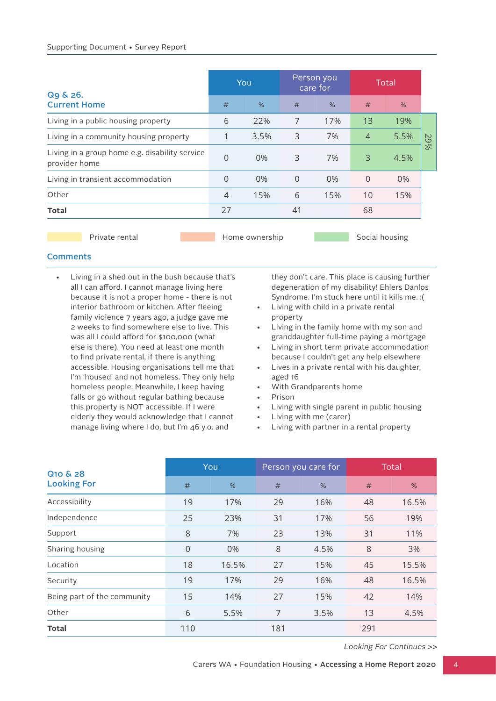|                                                                 |                | You  |          | Person you<br>care for |                | Total |        |
|-----------------------------------------------------------------|----------------|------|----------|------------------------|----------------|-------|--------|
| Q9 & 26.<br><b>Current Home</b>                                 | #              | %    | #        | %                      | #              | %     |        |
| Living in a public housing property                             | 6              | 22%  | 7        | 17%                    | 13             | 19%   |        |
| Living in a community housing property                          |                | 3.5% | 3        | 7%                     | $\overline{4}$ | 5.5%  | $\sim$ |
| Living in a group home e.g. disability service<br>provider home | 0              | 0%   | 3        | 7%                     | 3              | 4.5%  | 966    |
| Living in transient accommodation                               | 0              | 0%   | $\Omega$ | $0\%$                  | $\Omega$       | 0%    |        |
| Other                                                           | $\overline{4}$ | 15%  | 6        | 15%                    | 10             | 15%   |        |
| <b>Total</b>                                                    | 27             |      | 41       |                        | 68             |       |        |
|                                                                 |                |      |          |                        |                |       |        |

Private rental **Home ownership** Social housing

### **Comments**

• Living in a shed out in the bush because that's all I can afford. I cannot manage living here because it is not a proper home - there is not interior bathroom or kitchen. After fleeing family violence 7 years ago, a judge gave me 2 weeks to find somewhere else to live. This was all I could afford for \$100,000 (what else is there). You need at least one month to find private rental, if there is anything accessible. Housing organisations tell me that I'm 'housed' and not homeless. They only help homeless people. Meanwhile, I keep having falls or go without regular bathing because this property is NOT accessible. If I were elderly they would acknowledge that I cannot manage living where I do, but I'm 46 y.o. and

they don't care. This place is causing further degeneration of my disability! Ehlers Danlos Syndrome. I'm stuck here until it kills me. :(

- Living with child in a private rental property
- Living in the family home with my son and granddaughter full-time paying a mortgage
- Living in short term private accommodation because I couldn't get any help elsewhere
- Lives in a private rental with his daughter, aged 16
- With Grandparents home
- Prison
- Living with single parent in public housing
- Living with me (carer)
- Living with partner in a rental property

| Q <sub>10</sub> & <sub>28</sub> |          | You   |     | Person you care for | Total |       |
|---------------------------------|----------|-------|-----|---------------------|-------|-------|
| <b>Looking For</b>              | #        | %     | #   | %                   | #     | %     |
| Accessibility                   | 19       | 17%   | 29  | 16%                 | 48    | 16.5% |
| Independence                    | 25       | 23%   | 31  | 17%                 | 56    | 19%   |
| Support                         | 8        | 7%    | 23  | 13%                 | 31    | 11%   |
| Sharing housing                 | $\Omega$ | 0%    | 8   | 4.5%                | 8     | 3%    |
| Location                        | 18       | 16.5% | 27  | 15%                 | 45    | 15.5% |
| Security                        | 19       | 17%   | 29  | 16%                 | 48    | 16.5% |
| Being part of the community     | 15       | 14%   | 27  | 15%                 | 42    | 14%   |
| Other                           | 6        | 5.5%  | 7   | 3.5%                | 13    | 4.5%  |
| <b>Total</b>                    | 110      |       | 181 |                     | 291   |       |

Looking For Continues >>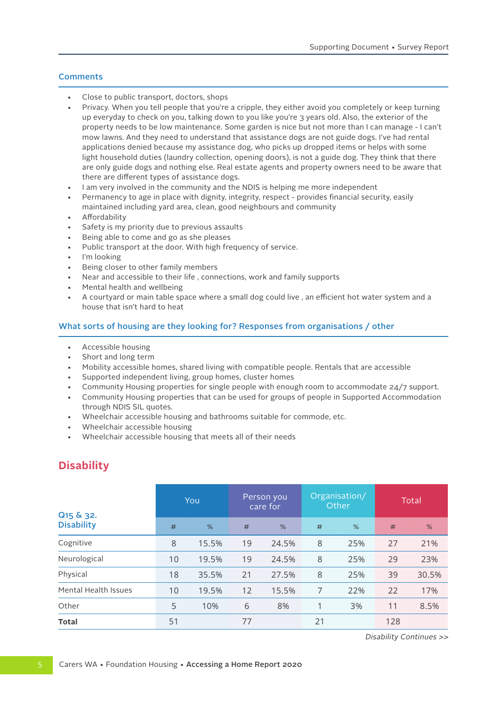### **Comments**

- Close to public transport, doctors, shops
- Privacy. When you tell people that you're a cripple, they either avoid you completely or keep turning up everyday to check on you, talking down to you like you're 3 years old. Also, the exterior of the property needs to be low maintenance. Some garden is nice but not more than I can manage - I can't mow lawns. And they need to understand that assistance dogs are not guide dogs. I've had rental applications denied because my assistance dog, who picks up dropped items or helps with some light household duties (laundry collection, opening doors), is not a guide dog. They think that there are only guide dogs and nothing else. Real estate agents and property owners need to be aware that there are different types of assistance dogs.
- I am very involved in the community and the NDIS is helping me more independent
- Permanency to age in place with dignity, integrity, respect provides financial security, easily maintained including yard area, clean, good neighbours and community
- Affordability
- Safety is my priority due to previous assaults
- Being able to come and go as she pleases
- Public transport at the door. With high frequency of service.
- I'm looking
- Being closer to other family members
- Near and accessible to their life , connections, work and family supports
- Mental health and wellbeing
- A courtyard or main table space where a small dog could live , an efficient hot water system and a house that isn't hard to heat

### What sorts of housing are they looking for? Responses from organisations / other

- Accessible housing
- Short and long term
- Mobility accessible homes, shared living with compatible people. Rentals that are accessible
- Supported independent living, group homes, cluster homes
- Community Housing properties for single people with enough room to accommodate 24/7 support.
- Community Housing properties that can be used for groups of people in Supported Accommodation through NDIS SIL quotes.
- Wheelchair accessible housing and bathrooms suitable for commode, etc.
- Wheelchair accessible housing
- Wheelchair accessible housing that meets all of their needs

### **Disability**

| Q <sub>15</sub> & 32. | You |       | Person you<br>care for |       | Organisation/<br>Other |     | Total |       |
|-----------------------|-----|-------|------------------------|-------|------------------------|-----|-------|-------|
| <b>Disability</b>     | #   | %     | #                      | %     | #                      | %   | #     | %     |
| Cognitive             | 8   | 15.5% | 19                     | 24.5% | 8                      | 25% | 27    | 21%   |
| Neurological          | 10  | 19.5% | 19                     | 24.5% | 8                      | 25% | 29    | 23%   |
| Physical              | 18  | 35.5% | 21                     | 27.5% | 8                      | 25% | 39    | 30.5% |
| Mental Health Issues  | 10  | 19.5% | 12                     | 15.5% | 7                      | 22% | 22    | 17%   |
| Other                 | 5   | 10%   | 6                      | 8%    | 1                      | 3%  | 11    | 8.5%  |
| <b>Total</b>          | 51  |       | 77                     |       | 21                     |     | 128   |       |

Disability Continues >>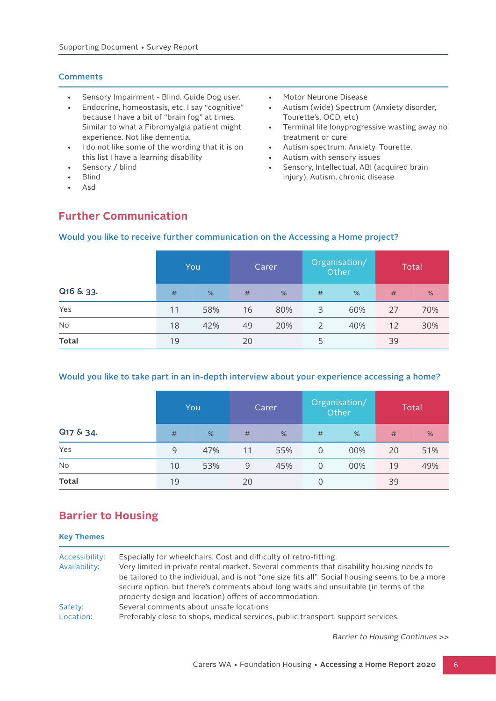### **Comments**

- Sensory Impairment Blind. Guide Dog user.
- Endocrine, homeostasis, etc. I say "cognitive" because I have a bit of "brain fog" at times. Similar to what a Fibromyalgia patient might experience. Not like dementia.
- I do not like some of the wording that it is on this list I have a learning disability
- Sensory / blind
- Blind
- Asd
- Motor Neurone Disease
- Autism (wide) Spectrum (Anxiety disorder, Tourette's, OCD, etc)
- Terminal life lonyprogressive wasting away no treatment or cure
- Autism spectrum. Anxiety. Tourette.
- Autism with sensory issues<br>• Sensory, Intellectual, ARI (a
- Sensory, Intellectual, ABI (acquired brain injury), Autism, chronic disease

## **Further Communication**

# Would you like to receive further communication on the Accessing a Home project?

|              | You |     | Carer |     | Organisation/<br>Other |     | <b>Total</b> |     |
|--------------|-----|-----|-------|-----|------------------------|-----|--------------|-----|
| Q16 & 33.    | #   | %   | #     | %   | #                      | %   | #            | %   |
| Yes          | 11  | 58% | 16    | 80% | 3                      | 60% | 27           | 70% |
| No           | 18  | 42% | 49    | 20% | 2                      | 40% | 12           | 30% |
| <b>Total</b> | 19  |     | 20    |     | 5                      |     | 39           |     |

### Would you like to take part in an in-depth interview about your experience accessing a home?

|              | You |     | Carer |      | Organisation/<br>Other |     | <b>Total</b> |     |
|--------------|-----|-----|-------|------|------------------------|-----|--------------|-----|
| Q17 & 34.    | #   | %   | #     | $\%$ | #                      | %   | #            | %   |
| Yes          | 9   | 47% | 11    | 55%  | $\overline{0}$         | 00% | 20           | 51% |
| No           | 10  | 53% | 9     | 45%  | $\overline{0}$         | 00% | 19           | 49% |
| <b>Total</b> | 19  |     | 20    |      | 0                      |     | 39           |     |

### **Barrier to Housing**

| <b>Key Themes</b>               |                                                                                                                                                                                                                                                                                                                                                                                                                     |
|---------------------------------|---------------------------------------------------------------------------------------------------------------------------------------------------------------------------------------------------------------------------------------------------------------------------------------------------------------------------------------------------------------------------------------------------------------------|
| Accessibility:<br>Availability: | Especially for wheelchairs. Cost and difficulty of retro-fitting.<br>Very limited in private rental market. Several comments that disability housing needs to<br>be tailored to the individual, and is not "one size fits all". Social housing seems to be a more<br>secure option, but there's comments about long waits and unsuitable (in terms of the<br>property design and location) offers of accommodation. |
| Safety:<br>Location:            | Several comments about unsafe locations<br>Preferably close to shops, medical services, public transport, support services.                                                                                                                                                                                                                                                                                         |

Barrier to Housing Continues >>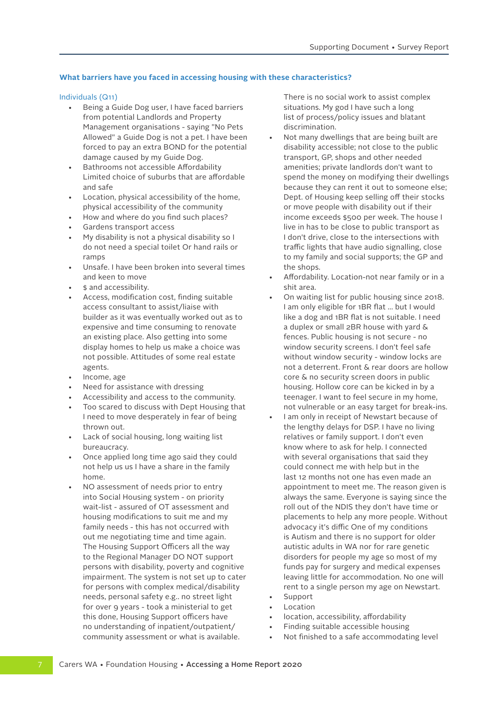### **What barriers have you faced in accessing housing with these characteristics?**

### Individuals (Q11)

- Being a Guide Dog user, I have faced barriers from potential Landlords and Property Management organisations - saying "No Pets Allowed" a Guide Dog is not a pet. I have been forced to pay an extra BOND for the potential damage caused by my Guide Dog.
- Bathrooms not accessible Affordability Limited choice of suburbs that are affordable and safe
- Location, physical accessibility of the home, physical accessibility of the community
- How and where do you find such places?
- Gardens transport access
- My disability is not a physical disability so I do not need a special toilet Or hand rails or ramps
- Unsafe. I have been broken into several times and keen to move
- \$ and accessibility.
- Access, modification cost, finding suitable access consultant to assist/liaise with builder as it was eventually worked out as to expensive and time consuming to renovate an existing place. Also getting into some display homes to help us make a choice was not possible. Attitudes of some real estate agents.
- Income, age
- Need for assistance with dressing
- Accessibility and access to the community.
- Too scared to discuss with Dept Housing that I need to move desperately in fear of being thrown out.
- Lack of social housing, long waiting list bureaucracy.
- Once applied long time ago said they could not help us us I have a share in the family home.
- NO assessment of needs prior to entry into Social Housing system - on priority wait-list - assured of OT assessment and housing modifications to suit me and my family needs - this has not occurred with out me negotiating time and time again. The Housing Support Officers all the way to the Regional Manager DO NOT support persons with disability, poverty and cognitive impairment. The system is not set up to cater for persons with complex medical/disability needs, personal safety e.g.. no street light for over 9 years - took a ministerial to get this done, Housing Support officers have no understanding of inpatient/outpatient/ community assessment or what is available.

There is no social work to assist complex situations. My god I have such a long list of process/policy issues and blatant discrimination.

- Not many dwellings that are being built are disability accessible; not close to the public transport, GP, shops and other needed amenities; private landlords don't want to spend the money on modifying their dwellings because they can rent it out to someone else; Dept. of Housing keep selling off their stocks or move people with disability out if their income exceeds \$500 per week. The house I live in has to be close to public transport as I don't drive, close to the intersections with traffic lights that have audio signalling, close to my family and social supports; the GP and the shops.
- Affordability. Location-not near family or in a shit area.
- On waiting list for public housing since 2018. I am only eligible for 1BR flat ... but I would like a dog and 1BR flat is not suitable. I need a duplex or small 2BR house with yard & fences. Public housing is not secure - no window security screens. I don't feel safe without window security - window locks are not a deterrent. Front & rear doors are hollow core & no security screen doors in public housing. Hollow core can be kicked in by a teenager. I want to feel secure in my home, not vulnerable or an easy target for break-ins.
- I am only in receipt of Newstart because of the lengthy delays for DSP. I have no living relatives or family support. I don't even know where to ask for help. I connected with several organisations that said they could connect me with help but in the last 12 months not one has even made an appointment to meet me. The reason given is always the same. Everyone is saying since the roll out of the NDIS they don't have time or placements to help any more people. Without advocacy it's diffic One of my conditions is Autism and there is no support for older autistic adults in WA nor for rare genetic disorders for people my age so most of my funds pay for surgery and medical expenses leaving little for accommodation. No one will rent to a single person my age on Newstart. **Support**
- 
- **Location**
- location, accessibility, affordability
- Finding suitable accessible housing
- Not finished to a safe accommodating level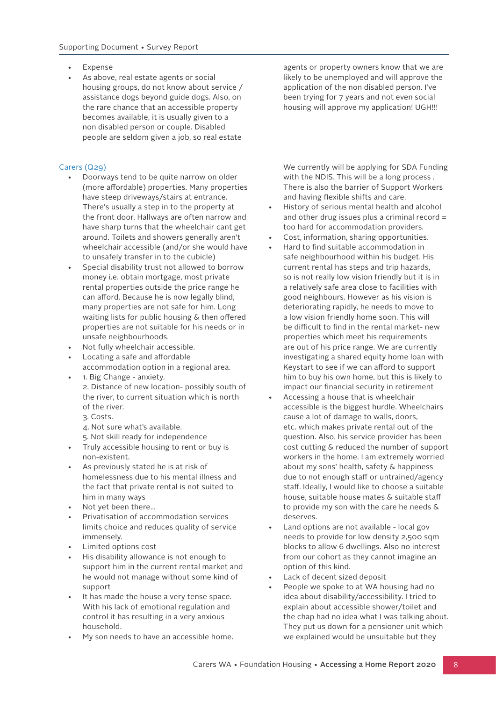- **Expense**
- As above, real estate agents or social housing groups, do not know about service / assistance dogs beyond guide dogs. Also, on the rare chance that an accessible property becomes available, it is usually given to a non disabled person or couple. Disabled people are seldom given a job, so real estate

### Carers (Q29)

- Doorways tend to be quite narrow on older (more affordable) properties. Many properties have steep driveways/stairs at entrance. There's usually a step in to the property at the front door. Hallways are often narrow and have sharp turns that the wheelchair cant get around. Toilets and showers generally aren't wheelchair accessible (and/or she would have to unsafely transfer in to the cubicle)
- Special disability trust not allowed to borrow money i.e. obtain mortgage, most private rental properties outside the price range he can afford. Because he is now legally blind, many properties are not safe for him. Long waiting lists for public housing & then offered properties are not suitable for his needs or in unsafe neighbourhoods.
- Not fully wheelchair accessible.
- Locating a safe and affordable
- accommodation option in a regional area.
- 1. Big Change anxiety. 2. Distance of new location- possibly south of the river, to current situation which is north of the river.
	- 3. Costs.
	- 4. Not sure what's available.
	- 5. Not skill ready for independence
- Truly accessible housing to rent or buy is non-existent.
- As previously stated he is at risk of homelessness due to his mental illness and the fact that private rental is not suited to him in many ways
- Not yet been there...
- Privatisation of accommodation services limits choice and reduces quality of service immensely.
- Limited options cost
- His disability allowance is not enough to support him in the current rental market and he would not manage without some kind of support
- It has made the house a very tense space. With his lack of emotional regulation and control it has resulting in a very anxious household.
- My son needs to have an accessible home.

agents or property owners know that we are likely to be unemployed and will approve the application of the non disabled person. I've been trying for 7 years and not even social housing will approve my application! UGH!!!

We currently will be applying for SDA Funding with the NDIS. This will be a long process . There is also the barrier of Support Workers and having flexible shifts and care.

- History of serious mental health and alcohol and other drug issues plus a criminal record = too hard for accommodation providers.
- Cost, information, sharing opportunities.
- Hard to find suitable accommodation in safe neighbourhood within his budget. His current rental has steps and trip hazards, so is not really low vision friendly but it is in a relatively safe area close to facilities with good neighbours. However as his vision is deteriorating rapidly, he needs to move to a low vision friendly home soon. This will be difficult to find in the rental market- new properties which meet his requirements are out of his price range. We are currently investigating a shared equity home loan with Keystart to see if we can afford to support him to buy his own home, but this is likely to impact our financial security in retirement
- Accessing a house that is wheelchair accessible is the biggest hurdle. Wheelchairs cause a lot of damage to walls, doors, etc. which makes private rental out of the question. Also, his service provider has been cost cutting & reduced the number of support workers in the home. I am extremely worried about my sons' health, safety & happiness due to not enough staff or untrained/agency staff. Ideally, I would like to choose a suitable house, suitable house mates & suitable staff to provide my son with the care he needs & deserves.
- Land options are not available local gov needs to provide for low density 2,500 sqm blocks to allow 6 dwellings. Also no interest from our cohort as they cannot imagine an option of this kind.
- Lack of decent sized deposit
- People we spoke to at WA housing had no idea about disability/accessibility. I tried to explain about accessible shower/toilet and the chap had no idea what I was talking about. They put us down for a pensioner unit which we explained would be unsuitable but they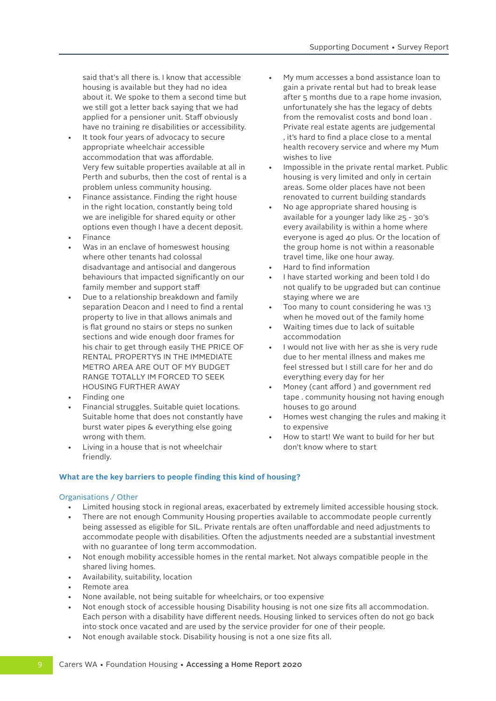said that's all there is. I know that accessible housing is available but they had no idea about it. We spoke to them a second time but we still got a letter back saying that we had applied for a pensioner unit. Staff obviously have no training re disabilities or accessibility.

- It took four years of advocacy to secure appropriate wheelchair accessible accommodation that was affordable. Very few suitable properties available at all in Perth and suburbs, then the cost of rental is a problem unless community housing.
- Finance assistance. Finding the right house in the right location, constantly being told we are ineligible for shared equity or other options even though I have a decent deposit.
- Finance
- Was in an enclave of homeswest housing where other tenants had colossal disadvantage and antisocial and dangerous behaviours that impacted significantly on our family member and support staff
- Due to a relationship breakdown and family separation Deacon and I need to find a rental property to live in that allows animals and is flat ground no stairs or steps no sunken sections and wide enough door frames for his chair to get through easily THE PRICE OF RENTAL PROPERTYS IN THE IMMEDIATE METRO AREA ARE OUT OF MY BUDGET RANGE TOTALLY IM FORCED TO SEEK HOUSING FURTHER AWAY
- Finding one
- Financial struggles. Suitable quiet locations. Suitable home that does not constantly have burst water pipes & everything else going wrong with them.
- Living in a house that is not wheelchair friendly.
- My mum accesses a bond assistance loan to gain a private rental but had to break lease after 5 months due to a rape home invasion, unfortunately she has the legacy of debts from the removalist costs and bond loan . Private real estate agents are judgemental , it's hard to find a place close to a mental health recovery service and where my Mum wishes to live
- Impossible in the private rental market. Public housing is very limited and only in certain areas. Some older places have not been renovated to current building standards
- No age appropriate shared housing is available for a younger lady like 25 - 30's every availability is within a home where everyone is aged 40 plus. Or the location of the group home is not within a reasonable travel time, like one hour away.
- Hard to find information
- I have started working and been told I do not qualify to be upgraded but can continue staying where we are
- Too many to count considering he was 13 when he moved out of the family home
- Waiting times due to lack of suitable accommodation
- I would not live with her as she is very rude due to her mental illness and makes me feel stressed but I still care for her and do everything every day for her
- Money (cant afford ) and government red tape . community housing not having enough houses to go around
- Homes west changing the rules and making it to expensive
- How to start! We want to build for her but don't know where to start

### **What are the key barriers to people finding this kind of housing?**

### Organisations / Other

- Limited housing stock in regional areas, exacerbated by extremely limited accessible housing stock.
- There are not enough Community Housing properties available to accommodate people currently being assessed as eligible for SIL. Private rentals are often unaffordable and need adjustments to accommodate people with disabilities. Often the adjustments needed are a substantial investment with no guarantee of long term accommodation.
- Not enough mobility accessible homes in the rental market. Not always compatible people in the shared living homes.
- Availability, suitability, location
- Remote area
- None available, not being suitable for wheelchairs, or too expensive
- Not enough stock of accessible housing Disability housing is not one size fits all accommodation. Each person with a disability have different needs. Housing linked to services often do not go back into stock once vacated and are used by the service provider for one of their people.
- Not enough available stock. Disability housing is not a one size fits all.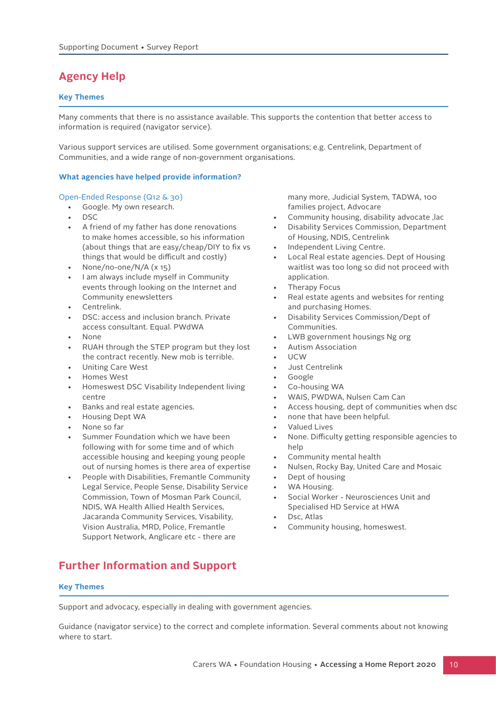## **Agency Help**

### **Key Themes**

Many comments that there is no assistance available. This supports the contention that better access to information is required (navigator service).

Various support services are utilised. Some government organisations; e.g. Centrelink, Department of Communities, and a wide range of non-government organisations.

### **What agencies have helped provide information?**

### Open-Ended Response (Q12 & 30)

- Google. My own research.
- DSC
- A friend of my father has done renovations to make homes accessible, so his information (about things that are easy/cheap/DIY to fix vs things that would be difficult and costly)
- None/no-one/N/A (x 15)
- I am always include myself in Community events through looking on the Internet and Community enewsletters
- Centrelink.
- DSC: access and inclusion branch. Private access consultant. Equal. PWdWA
- None
- RUAH through the STEP program but they lost the contract recently. New mob is terrible.
- Uniting Care West
- Homes West
- Homeswest DSC Visability Independent living centre
- Banks and real estate agencies.
- Housing Dept WA
- None so far
- Summer Foundation which we have been following with for some time and of which accessible housing and keeping young people out of nursing homes is there area of expertise
- People with Disabilities, Fremantle Community Legal Service, People Sense, Disability Service Commission, Town of Mosman Park Council, NDIS, WA Health Allied Health Services, Jacaranda Community Services, Visability, Vision Australia, MRD, Police, Fremantle Support Network, Anglicare etc - there are

## **Further Information and Support**

### **Key Themes**

Support and advocacy, especially in dealing with government agencies.

Guidance (navigator service) to the correct and complete information. Several comments about not knowing where to start.

many more, Judicial System, TADWA, 100 families project, Advocare

- Community housing, disability advocate ,lac
- Disability Services Commission, Department of Housing, NDIS, Centrelink
- Independent Living Centre.
- Local Real estate agencies. Dept of Housing waitlist was too long so did not proceed with application.
- Therapy Focus
- Real estate agents and websites for renting and purchasing Homes.
- Disability Services Commission/Dept of Communities.
- LWB government housings Ng org
- Autism Association
- UCW
- Just Centrelink
- Google
- Co-housing WA
- WAIS, PWDWA, Nulsen Cam Can
- Access housing, dept of communities when dsc
- none that have been helpful.
- Valued Lives
- None. Difficulty getting responsible agencies to help
- Community mental health
- Nulsen, Rocky Bay, United Care and Mosaic
- Dept of housing
- WA Housing.
- Social Worker Neurosciences Unit and Specialised HD Service at HWA
- Dsc, Atlas
- Community housing, homeswest.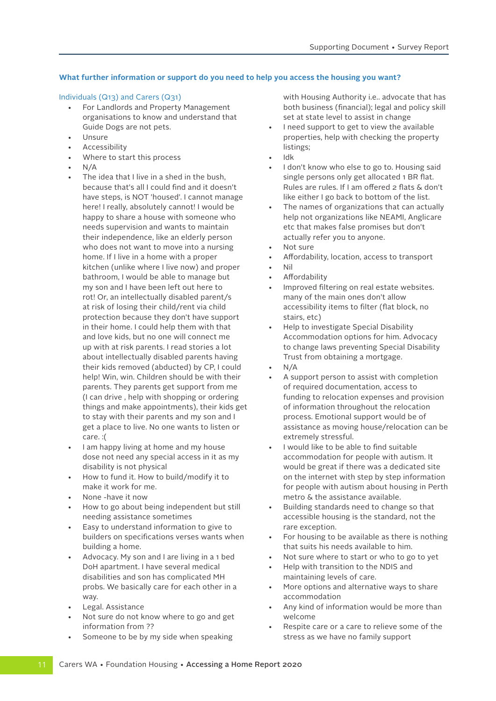### **What further information or support do you need to help you access the housing you want?**

### Individuals (Q13) and Carers (Q31)

- For Landlords and Property Management organisations to know and understand that Guide Dogs are not pets.
- Unsure
- **Accessibility**
- Where to start this process
- N/A
- The idea that I live in a shed in the bush, because that's all I could find and it doesn't have steps, is NOT 'housed'. I cannot manage here! I really, absolutely cannot! I would be happy to share a house with someone who needs supervision and wants to maintain their independence, like an elderly person who does not want to move into a nursing home. If I live in a home with a proper kitchen (unlike where I live now) and proper bathroom, I would be able to manage but my son and I have been left out here to rot! Or, an intellectually disabled parent/s at risk of losing their child/rent via child protection because they don't have support in their home. I could help them with that and love kids, but no one will connect me up with at risk parents. I read stories a lot about intellectually disabled parents having their kids removed (abducted) by CP, I could help! Win, win. Children should be with their parents. They parents get support from me (I can drive , help with shopping or ordering things and make appointments), their kids get to stay with their parents and my son and I get a place to live. No one wants to listen or care. :(
- I am happy living at home and my house dose not need any special access in it as my disability is not physical
- How to fund it. How to build/modify it to make it work for me.
- None -have it now
- How to go about being independent but still needing assistance sometimes
- Easy to understand information to give to builders on specifications verses wants when building a home.
- Advocacy. My son and I are living in a 1 bed DoH apartment. I have several medical disabilities and son has complicated MH probs. We basically care for each other in a way.
- Legal. Assistance
- Not sure do not know where to go and get information from ??
- Someone to be by my side when speaking

with Housing Authority i.e.. advocate that has both business (financial); legal and policy skill set at state level to assist in change

- I need support to get to view the available properties, help with checking the property listings;
- Idk
- I don't know who else to go to. Housing said single persons only get allocated 1 BR flat. Rules are rules. If I am offered 2 flats & don't like either I go back to bottom of the list.
- The names of organizations that can actually help not organizations like NEAMI, Anglicare etc that makes false promises but don't actually refer you to anyone.
- Not sure
- Affordability, location, access to transport
- Nil
- **Affordability**
- Improved filtering on real estate websites. many of the main ones don't allow accessibility items to filter (flat block, no stairs, etc)
- Help to investigate Special Disability Accommodation options for him. Advocacy to change laws preventing Special Disability Trust from obtaining a mortgage.
- $N/A$
- A support person to assist with completion of required documentation, access to funding to relocation expenses and provision of information throughout the relocation process. Emotional support would be of assistance as moving house/relocation can be extremely stressful.
- I would like to be able to find suitable accommodation for people with autism. It would be great if there was a dedicated site on the internet with step by step information for people with autism about housing in Perth metro & the assistance available.
- Building standards need to change so that accessible housing is the standard, not the rare exception.
- For housing to be available as there is nothing that suits his needs available to him.
- Not sure where to start or who to go to yet
- Help with transition to the NDIS and maintaining levels of care.
- More options and alternative ways to share accommodation
- Any kind of information would be more than welcome
- Respite care or a care to relieve some of the stress as we have no family support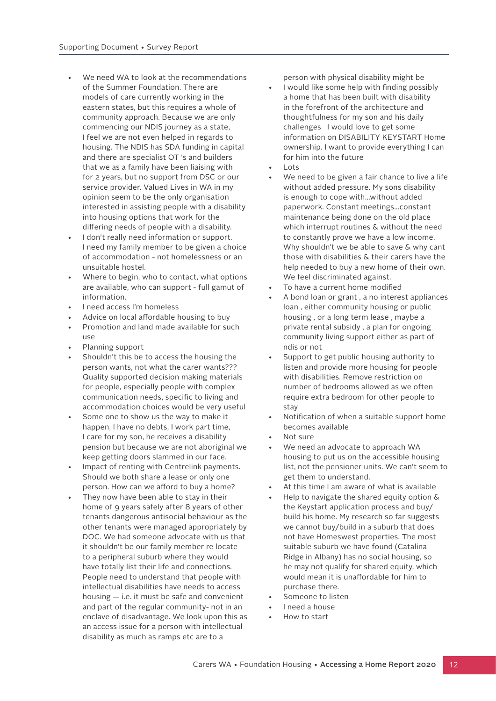- We need WA to look at the recommendations of the Summer Foundation. There are models of care currently working in the eastern states, but this requires a whole of community approach. Because we are only commencing our NDIS journey as a state, I feel we are not even helped in regards to housing. The NDIS has SDA funding in capital and there are specialist OT 's and builders that we as a family have been liaising with for 2 years, but no support from DSC or our service provider. Valued Lives in WA in my opinion seem to be the only organisation interested in assisting people with a disability into housing options that work for the differing needs of people with a disability.
- I don't really need information or support. I need my family member to be given a choice of accommodation - not homelessness or an unsuitable hostel.
- Where to begin, who to contact, what options are available, who can support - full gamut of information.
- I need access I'm homeless
- Advice on local affordable housing to buy
- Promotion and land made available for such use
- Planning support
- Shouldn't this be to access the housing the person wants, not what the carer wants??? Quality supported decision making materials for people, especially people with complex communication needs, specific to living and accommodation choices would be very useful
- Some one to show us the way to make it happen, I have no debts, I work part time, I care for my son, he receives a disability pension but because we are not aboriginal we keep getting doors slammed in our face.
- Impact of renting with Centrelink payments. Should we both share a lease or only one person. How can we afford to buy a home?
- They now have been able to stay in their home of 9 years safely after 8 years of other tenants dangerous antisocial behaviour as the other tenants were managed appropriately by DOC. We had someone advocate with us that it shouldn't be our family member re locate to a peripheral suburb where they would have totally list their life and connections. People need to understand that people with intellectual disabilities have needs to access housing — i.e. it must be safe and convenient and part of the regular community- not in an enclave of disadvantage. We look upon this as an access issue for a person with intellectual disability as much as ramps etc are to a

person with physical disability might be

- I would like some help with finding possibly a home that has been built with disability in the forefront of the architecture and thoughtfulness for my son and his daily challenges I would love to get some information on DISABILITY KEYSTART Home ownership. I want to provide everything I can for him into the future
- Lots
- We need to be given a fair chance to live a life without added pressure. My sons disability is enough to cope with...without added paperwork. Constant meetings...constant maintenance being done on the old place which interrupt routines & without the need to constantly prove we have a low income. Why shouldn't we be able to save & why cant those with disabilities & their carers have the help needed to buy a new home of their own. We feel discriminated against.
- To have a current home modified
- A bond loan or grant , a no interest appliances loan , either community housing or public housing , or a long term lease , maybe a private rental subsidy , a plan for ongoing community living support either as part of ndis or not
- Support to get public housing authority to listen and provide more housing for people with disabilities. Remove restriction on number of bedrooms allowed as we often require extra bedroom for other people to stay
- Notification of when a suitable support home becomes available
- Not sure
- We need an advocate to approach WA housing to put us on the accessible housing list, not the pensioner units. We can't seem to get them to understand.
- At this time I am aware of what is available
- Help to navigate the shared equity option & the Keystart application process and buy/ build his home. My research so far suggests we cannot buy/build in a suburb that does not have Homeswest properties. The most suitable suburb we have found (Catalina Ridge in Albany) has no social housing, so he may not qualify for shared equity, which would mean it is unaffordable for him to purchase there.
- Someone to listen
- I need a house
- How to start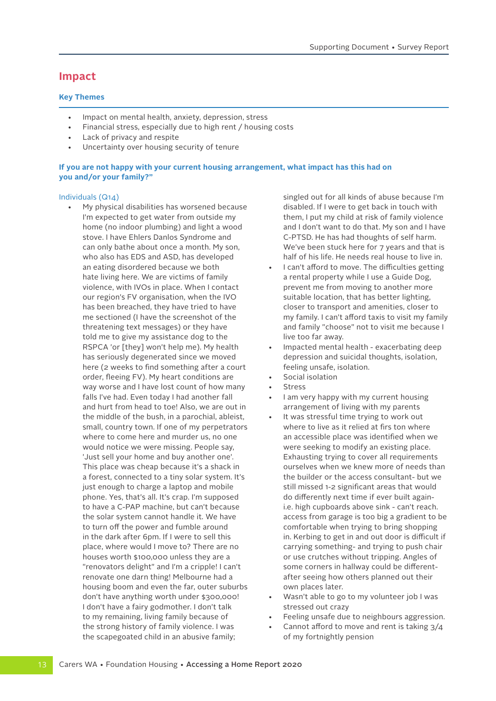### **Impact**

### **Key Themes**

- Impact on mental health, anxiety, depression, stress
- Financial stress, especially due to high rent / housing costs
- Lack of privacy and respite
- Uncertainty over housing security of tenure

### **If you are not happy with your current housing arrangement, what impact has this had on you and/or your family?"**

### Individuals (Q14)

• My physical disabilities has worsened because I'm expected to get water from outside my home (no indoor plumbing) and light a wood stove. I have Ehlers Danlos Syndrome and can only bathe about once a month. My son, who also has EDS and ASD, has developed an eating disordered because we both hate living here. We are victims of family violence, with IVOs in place. When I contact our region's FV organisation, when the IVO has been breached, they have tried to have me sectioned (I have the screenshot of the threatening text messages) or they have told me to give my assistance dog to the RSPCA 'or [they] won't help me). My health has seriously degenerated since we moved here (2 weeks to find something after a court order, fleeing FV). My heart conditions are way worse and I have lost count of how many falls I've had. Even today I had another fall and hurt from head to toe! Also, we are out in the middle of the bush, in a parochial, ableist, small, country town. If one of my perpetrators where to come here and murder us, no one would notice we were missing. People say, 'Just sell your home and buy another one'. This place was cheap because it's a shack in a forest, connected to a tiny solar system. It's just enough to charge a laptop and mobile phone. Yes, that's all. It's crap. I'm supposed to have a C-PAP machine, but can't because the solar system cannot handle it. We have to turn off the power and fumble around in the dark after 6pm. If I were to sell this place, where would I move to? There are no houses worth \$100,000 unless they are a "renovators delight" and I'm a cripple! I can't renovate one darn thing! Melbourne had a housing boom and even the far, outer suburbs don't have anything worth under \$300,000! I don't have a fairy godmother. I don't talk to my remaining, living family because of the strong history of family violence. I was the scapegoated child in an abusive family;

singled out for all kinds of abuse because I'm disabled. If I were to get back in touch with them, I put my child at risk of family violence and I don't want to do that. My son and I have C-PTSD. He has had thoughts of self harm. We've been stuck here for 7 years and that is half of his life. He needs real house to live in.

- I can't afford to move. The difficulties getting a rental property while I use a Guide Dog, prevent me from moving to another more suitable location, that has better lighting, closer to transport and amenities, closer to my family. I can't afford taxis to visit my family and family "choose" not to visit me because I live too far away.
- Impacted mental health exacerbating deep depression and suicidal thoughts, isolation, feeling unsafe, isolation.
- Social isolation
- **Stress**
- I am very happy with my current housing arrangement of living with my parents
- It was stressful time trying to work out where to live as it relied at firs ton where an accessible place was identified when we were seeking to modify an existing place. Exhausting trying to cover all requirements ourselves when we knew more of needs than the builder or the access consultant- but we still missed 1-2 significant areas that would do differently next time if ever built againi.e. high cupboards above sink - can't reach. access from garage is too big a gradient to be comfortable when trying to bring shopping in. Kerbing to get in and out door is difficult if carrying something- and trying to push chair or use crutches without tripping. Angles of some corners in hallway could be differentafter seeing how others planned out their own places later.
- Wasn't able to go to my volunteer job I was stressed out crazy
- Feeling unsafe due to neighbours aggression.
- Cannot afford to move and rent is taking  $3/4$ of my fortnightly pension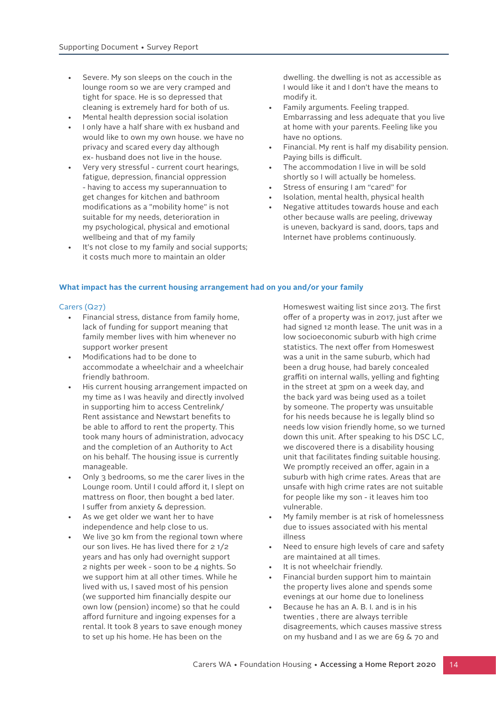- Severe. My son sleeps on the couch in the lounge room so we are very cramped and tight for space. He is so depressed that cleaning is extremely hard for both of us.
- Mental health depression social isolation
- I only have a half share with ex husband and would like to own my own house. we have no privacy and scared every day although ex- husband does not live in the house.
- Very very stressful current court hearings, fatigue, depression, financial oppression - having to access my superannuation to get changes for kitchen and bathroom modifications as a "mobility home" is not suitable for my needs, deterioration in my psychological, physical and emotional wellbeing and that of my family
- It's not close to my family and social supports; it costs much more to maintain an older

dwelling. the dwelling is not as accessible as I would like it and I don't have the means to modify it.

- Family arguments. Feeling trapped. Embarrassing and less adequate that you live at home with your parents. Feeling like you have no options.
- Financial. My rent is half my disability pension. Paying bills is difficult.
- The accommodation I live in will be sold shortly so I will actually be homeless.
- Stress of ensuring I am "cared" for
- Isolation, mental health, physical health
- Negative attitudes towards house and each other because walls are peeling, driveway is uneven, backyard is sand, doors, taps and Internet have problems continuously.

### **What impact has the current housing arrangement had on you and/or your family**

#### Carers (Q27)

- Financial stress, distance from family home, lack of funding for support meaning that family member lives with him whenever no support worker present
- Modifications had to be done to accommodate a wheelchair and a wheelchair friendly bathroom.
- His current housing arrangement impacted on my time as I was heavily and directly involved in supporting him to access Centrelink/ Rent assistance and Newstart benefits to be able to afford to rent the property. This took many hours of administration, advocacy and the completion of an Authority to Act on his behalf. The housing issue is currently manageable.
- Only 3 bedrooms, so me the carer lives in the Lounge room. Until I could afford it, I slept on mattress on floor, then bought a bed later. I suffer from anxiety & depression.
- As we get older we want her to have independence and help close to us.
- We live 30 km from the regional town where our son lives. He has lived there for 2 1/2 years and has only had overnight support 2 nights per week - soon to be 4 nights. So we support him at all other times. While he lived with us, I saved most of his pension (we supported him financially despite our own low (pension) income) so that he could afford furniture and ingoing expenses for a rental. It took 8 years to save enough money to set up his home. He has been on the

Homeswest waiting list since 2013. The first offer of a property was in 2017, just after we had signed 12 month lease. The unit was in a low socioeconomic suburb with high crime statistics. The next offer from Homeswest was a unit in the same suburb, which had been a drug house, had barely concealed graffiti on internal walls, yelling and fighting in the street at 3pm on a week day, and the back yard was being used as a toilet by someone. The property was unsuitable for his needs because he is legally blind so needs low vision friendly home, so we turned down this unit. After speaking to his DSC LC, we discovered there is a disability housing unit that facilitates finding suitable housing. We promptly received an offer, again in a suburb with high crime rates. Areas that are unsafe with high crime rates are not suitable for people like my son - it leaves him too vulnerable.

- My family member is at risk of homelessness due to issues associated with his mental illnoss
- Need to ensure high levels of care and safety are maintained at all times.
- It is not wheelchair friendly.
- Financial burden support him to maintain the property lives alone and spends some evenings at our home due to loneliness
- Because he has an A. B. I. and is in his twenties , there are always terrible disagreements, which causes massive stress on my husband and I as we are 69 & 70 and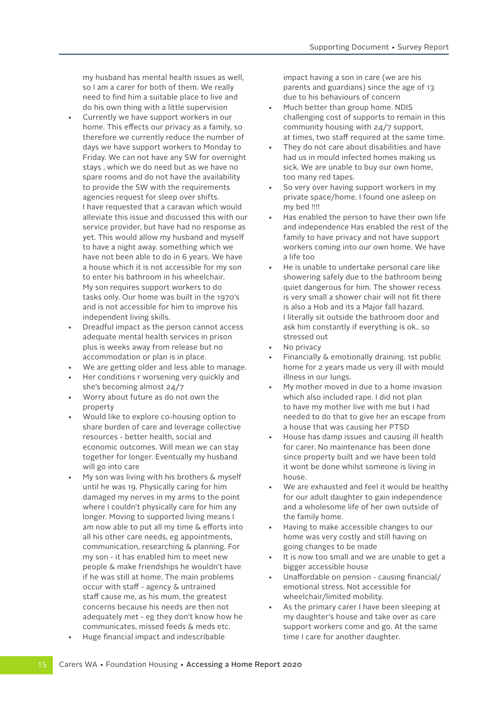my husband has mental health issues as well, so I am a carer for both of them. We really need to find him a suitable place to live and do his own thing with a little supervision • Currently we have support workers in our home. This effects our privacy as a family, so therefore we currently reduce the number of days we have support workers to Monday to Friday. We can not have any SW for overnight stays , which we do need but as we have no spare rooms and do not have the availability to provide the SW with the requirements agencies request for sleep over shifts. I have requested that a caravan which would alleviate this issue and discussed this with our service provider, but have had no response as yet. This would allow my husband and myself to have a night away. something which we have not been able to do in 6 years. We have a house which it is not accessible for my son to enter his bathroom in his wheelchair. My son requires support workers to do tasks only. Our home was built in the 1970's and is not accessible for him to improve his independent living skills.

- Dreadful impact as the person cannot access adequate mental health services in prison plus is weeks away from release but no accommodation or plan is in place.
- We are getting older and less able to manage.
- Her conditions r worsening very quickly and she's becoming almost 24/7
- Worry about future as do not own the property
- Would like to explore co-housing option to share burden of care and leverage collective resources - better health, social and economic outcomes. Will mean we can stay together for longer. Eventually my husband will go into care
- My son was living with his brothers & myself until he was 19. Physically caring for him damaged my nerves in my arms to the point where I couldn't physically care for him any longer. Moving to supported living means I am now able to put all my time & efforts into all his other care needs, eg appointments, communication, researching & planning. For my son - it has enabled him to meet new people & make friendships he wouldn't have if he was still at home. The main problems occur with staff - agency & untrained staff cause me, as his mum, the greatest concerns because his needs are then not adequately met - eg they don't know how he communicates, missed feeds & meds etc.
- Huge financial impact and indescribable

impact having a son in care (we are his parents and guardians) since the age of 13 due to his behaviours of concern

- Much better than group home. NDIS challenging cost of supports to remain in this community housing with 24/7 support, at times, two staff required at the same time.
- They do not care about disabilities and have had us in mould infected homes making us sick. We are unable to buy our own home, too many red tapes.
- So very over having support workers in my private space/home. I found one asleep on my bed !!!!
- Has enabled the person to have their own life and independence Has enabled the rest of the family to have privacy and not have support workers coming into our own home. We have a life too
- He is unable to undertake personal care like showering safely due to the bathroom being quiet dangerous for him. The shower recess is very small a shower chair will not fit there is also a Hob and its a Major fall hazard. I literally sit outside the bathroom door and ask him constantly if everything is ok.. so stressed out
- No privacy
- Financially & emotionally draining. 1st public home for 2 years made us very ill with mould illness in our lungs.
- My mother moved in due to a home invasion which also included rape. I did not plan to have my mother live with me but I had needed to do that to give her an escape from a house that was causing her PTSD
- House has damp issues and causing ill health for carer. No maintenance has been done since property built and we have been told it wont be done whilst someone is living in house.
- We are exhausted and feel it would be healthy for our adult daughter to gain independence and a wholesome life of her own outside of the family home.
- Having to make accessible changes to our home was very costly and still having on going changes to be made
- It is now too small and we are unable to get a bigger accessible house
- Unaffordable on pension causing financial/ emotional stress. Not accessible for wheelchair/limited mobility.
- As the primary carer I have been sleeping at my daughter's house and take over as care support workers come and go. At the same time I care for another daughter.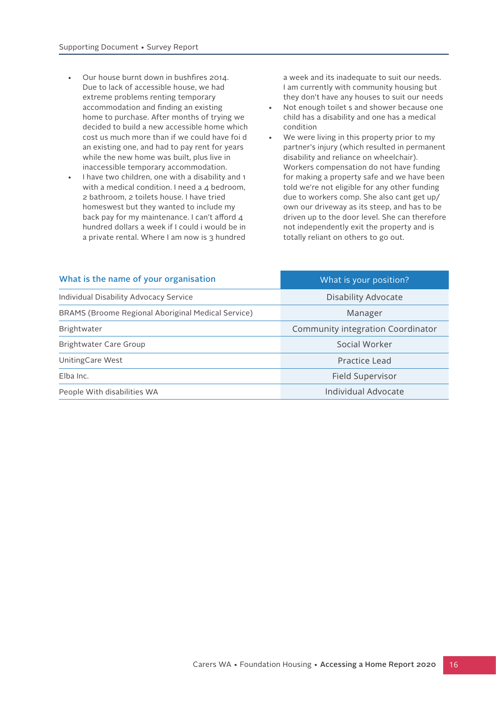- Our house burnt down in bushfires 2014. Due to lack of accessible house, we had extreme problems renting temporary accommodation and finding an existing home to purchase. After months of trying we decided to build a new accessible home which cost us much more than if we could have foi d an existing one, and had to pay rent for years while the new home was built, plus live in inaccessible temporary accommodation.
- I have two children, one with a disability and 1 with a medical condition. I need a 4 bedroom, 2 bathroom, 2 toilets house. I have tried homeswest but they wanted to include my back pay for my maintenance. I can't afford 4 hundred dollars a week if I could i would be in a private rental. Where I am now is 3 hundred

a week and its inadequate to suit our needs. I am currently with community housing but they don't have any houses to suit our needs

- Not enough toilet s and shower because one child has a disability and one has a medical condition
- We were living in this property prior to my partner's injury (which resulted in permanent disability and reliance on wheelchair). Workers compensation do not have funding for making a property safe and we have been told we're not eligible for any other funding due to workers comp. She also cant get up/ own our driveway as its steep, and has to be driven up to the door level. She can therefore not independently exit the property and is totally reliant on others to go out.

| What is the name of your organisation              | What is your position?            |
|----------------------------------------------------|-----------------------------------|
| Individual Disability Advocacy Service             | <b>Disability Advocate</b>        |
| BRAMS (Broome Regional Aboriginal Medical Service) | Manager                           |
| Brightwater                                        | Community integration Coordinator |
| Brightwater Care Group                             | Social Worker                     |
| Uniting Care West                                  | Practice Lead                     |
| Elba Inc.                                          | Field Supervisor                  |
| People With disabilities WA                        | <b>Individual Advocate</b>        |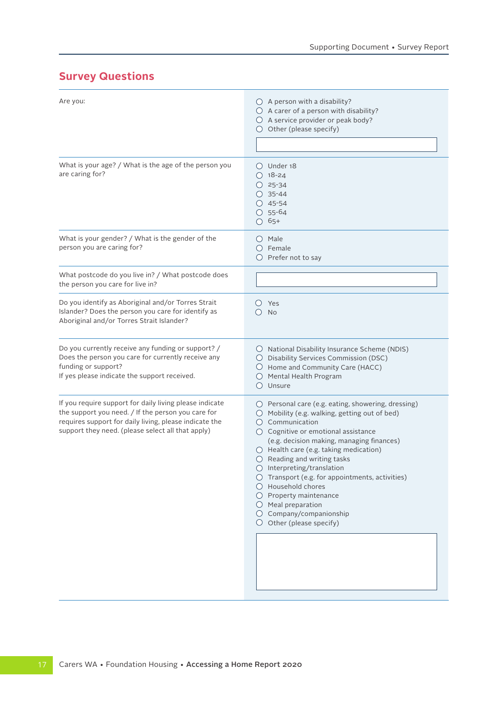## **Survey Questions**

| Are you:                                                                                                                                                                                                                     | $\bigcirc$ A person with a disability?<br>$\bigcirc$ A carer of a person with disability?<br>○ A service provider or peak body?<br>$\bigcirc$ Other (please specify)                                                                                                                                                                                                                                                                                                                                                                                                                       |
|------------------------------------------------------------------------------------------------------------------------------------------------------------------------------------------------------------------------------|--------------------------------------------------------------------------------------------------------------------------------------------------------------------------------------------------------------------------------------------------------------------------------------------------------------------------------------------------------------------------------------------------------------------------------------------------------------------------------------------------------------------------------------------------------------------------------------------|
| What is your age? / What is the age of the person you<br>are caring for?                                                                                                                                                     | $\bigcirc$ Under 18<br>$O$ 18-24<br>$O$ 25-34<br>$O$ 35-44<br>$O$ 45-54<br>$O$ 55-64<br>$O$ 65+                                                                                                                                                                                                                                                                                                                                                                                                                                                                                            |
| What is your gender? / What is the gender of the<br>person you are caring for?                                                                                                                                               | () Male<br>$\bigcirc$ Female<br>$O$ Prefer not to say                                                                                                                                                                                                                                                                                                                                                                                                                                                                                                                                      |
| What postcode do you live in? / What postcode does<br>the person you care for live in?                                                                                                                                       |                                                                                                                                                                                                                                                                                                                                                                                                                                                                                                                                                                                            |
| Do you identify as Aboriginal and/or Torres Strait<br>Islander? Does the person you care for identify as<br>Aboriginal and/or Torres Strait Islander?                                                                        | Yes<br>$\left( \right)$<br><b>No</b><br>$\left( \right)$                                                                                                                                                                                                                                                                                                                                                                                                                                                                                                                                   |
| Do you currently receive any funding or support? /<br>Does the person you care for currently receive any<br>funding or support?<br>If yes please indicate the support received.                                              | $\bigcirc$ National Disability Insurance Scheme (NDIS)<br>O Disability Services Commission (DSC)<br>Home and Community Care (HACC)<br>$\cup$<br>Mental Health Program<br>$\left( \right)$<br>Unsure                                                                                                                                                                                                                                                                                                                                                                                        |
| If you require support for daily living please indicate<br>the support you need. / If the person you care for<br>requires support for daily living, please indicate the<br>support they need. (please select all that apply) | $\bigcirc$ Personal care (e.g. eating, showering, dressing)<br>○ Mobility (e.g. walking, getting out of bed)<br>$\bigcirc$ Communication<br>○ Cognitive or emotional assistance<br>(e.g. decision making, managing finances)<br>○ Health care (e.g. taking medication)<br>$\bigcirc$ Reading and writing tasks<br>$\bigcirc$ Interpreting/translation<br>$\bigcirc$ Transport (e.g. for appointments, activities)<br>$\bigcap$ Household chores<br>$\bigcirc$ Property maintenance<br>$\bigcirc$ Meal preparation<br>$\bigcirc$ Company/companionship<br>$\bigcirc$ Other (please specify) |